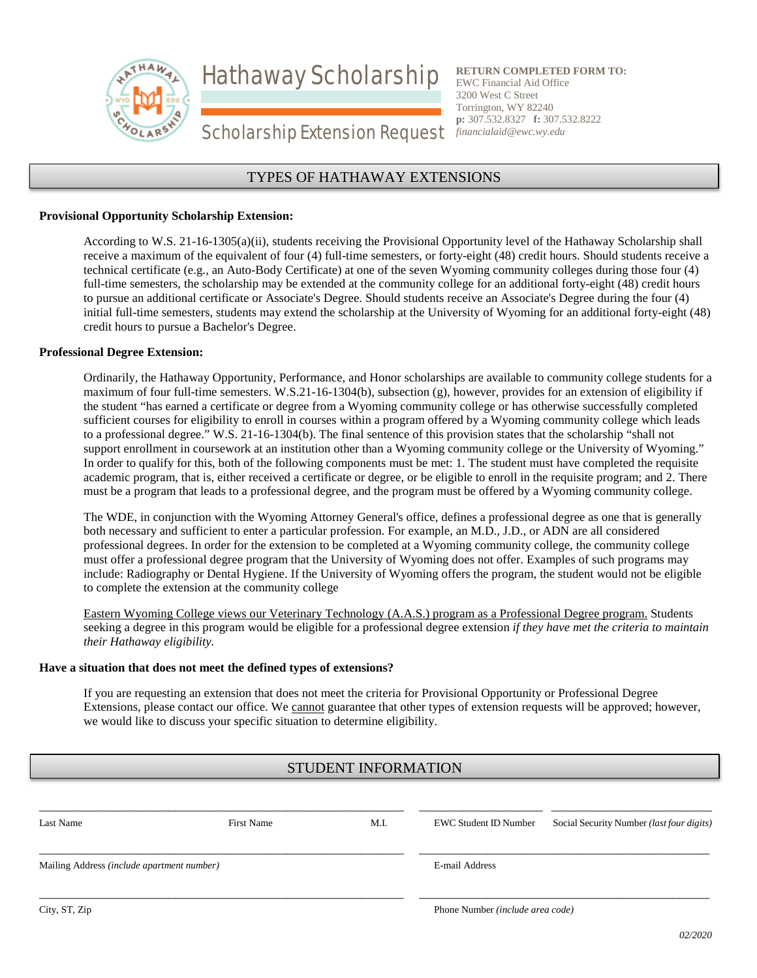Hathaway Scholarship



**RETURN COMPLETED FORM TO:** EWC Financial Aid Office 3200 West C Street Torrington, WY 82240 **p:** 307.532.8327 **f:** 307.532.8222 *financialaid@ewc.wy.edu*

# Scholarship Extension Request

# TYPES OF HATHAWAY EXTENSIONS

#### **Provisional Opportunity Scholarship Extension:**

According to W.S. 21-16-1305(a)(ii), students receiving the Provisional Opportunity level of the Hathaway Scholarship shall receive a maximum of the equivalent of four (4) full-time semesters, or forty-eight (48) credit hours. Should students receive a technical certificate (e.g., an Auto-Body Certificate) at one of the seven Wyoming community colleges during those four (4) full-time semesters, the scholarship may be extended at the community college for an additional forty-eight (48) credit hours to pursue an additional certificate or Associate's Degree. Should students receive an Associate's Degree during the four (4) initial full-time semesters, students may extend the scholarship at the University of Wyoming for an additional forty-eight (48) credit hours to pursue a Bachelor's Degree.

#### **Professional Degree Extension:**

Ordinarily, the Hathaway Opportunity, Performance, and Honor scholarships are available to community college students for a maximum of four full-time semesters. W.S.21-16-1304(b), subsection (g), however, provides for an extension of eligibility if the student "has earned a certificate or degree from a Wyoming community college or has otherwise successfully completed sufficient courses for eligibility to enroll in courses within a program offered by a Wyoming community college which leads to a professional degree." W.S. 21-16-1304(b). The final sentence of this provision states that the scholarship "shall not support enrollment in coursework at an institution other than a Wyoming community college or the University of Wyoming." In order to qualify for this, both of the following components must be met: 1. The student must have completed the requisite academic program, that is, either received a certificate or degree, or be eligible to enroll in the requisite program; and 2. There must be a program that leads to a professional degree, and the program must be offered by a Wyoming community college.

The WDE, in conjunction with the Wyoming Attorney General's office, defines a professional degree as one that is generally both necessary and sufficient to enter a particular profession. For example, an M.D., J.D., or ADN are all considered professional degrees. In order for the extension to be completed at a Wyoming community college, the community college must offer a professional degree program that the University of Wyoming does not offer. Examples of such programs may include: Radiography or Dental Hygiene. If the University of Wyoming offers the program, the student would not be eligible to complete the extension at the community college

Eastern Wyoming College views our Veterinary Technology (A.A.S.) program as a Professional Degree program. Students seeking a degree in this program would be eligible for a professional degree extension *if they have met the criteria to maintain their Hathaway eligibility.* 

#### **Have a situation that does not meet the defined types of extensions?**

If you are requesting an extension that does not meet the criteria for Provisional Opportunity or Professional Degree Extensions, please contact our office. We cannot guarantee that other types of extension requests will be approved; however, we would like to discuss your specific situation to determine eligibility.

# STUDENT INFORMATION

| Last Name                                  | <b>First Name</b> | M.I. | EWC Student ID Number            | Social Security Number <i>(last four digits)</i> |
|--------------------------------------------|-------------------|------|----------------------------------|--------------------------------------------------|
| Mailing Address (include apartment number) |                   |      | E-mail Address                   |                                                  |
| City, ST, Zip                              |                   |      | Phone Number (include area code) |                                                  |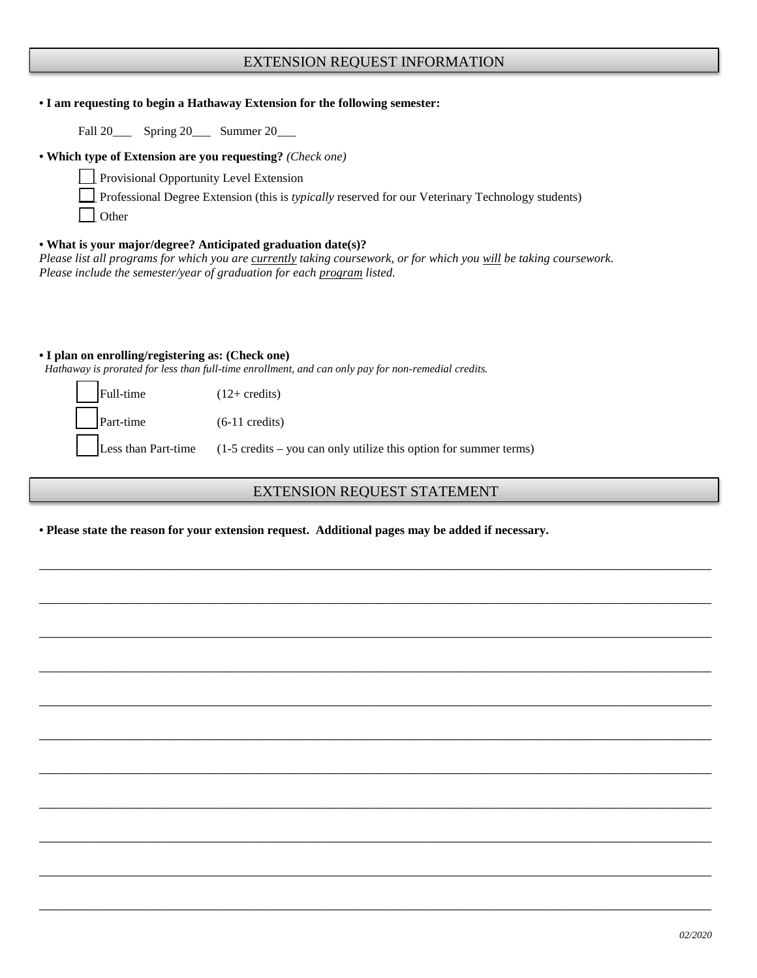# EXTENSION REQUEST INFORMATION

#### **• I am requesting to begin a Hathaway Extension for the following semester:**

Fall 20\_\_\_\_ Spring 20\_\_\_ Summer 20\_\_\_

#### **• Which type of Extension are you requesting?** *(Check one)*

\_\_\_ Provisional Opportunity Level Extension

\_\_\_ Professional Degree Extension (this is *typically* reserved for our Veterinary Technology students)

\_\_\_ Other

#### **• What is your major/degree? Anticipated graduation date(s)?**

*Please list all programs for which you are currently taking coursework, or for which you will be taking coursework. Please include the semester/year of graduation for each program listed.*

#### **• I plan on enrolling/registering as: (Check one)**

 *Hathaway is prorated for less than full-time enrollment, and can only pay for non-remedial credits.*

| $\vert$ Full-time          | $(12 + \text{credits})$                                                                       |
|----------------------------|-----------------------------------------------------------------------------------------------|
| $\left  \right $ Part-time | $(6-11 \text{ credits})$                                                                      |
|                            | $\vert$ Less than Part-time (1-5 credits – you can only utilize this option for summer terms) |

# EXTENSION REQUEST STATEMENT

**\_\_\_\_\_\_\_\_\_\_\_\_\_\_\_\_\_\_\_\_\_\_\_\_\_\_\_\_\_\_\_\_\_\_\_\_\_\_\_\_\_\_\_\_\_\_\_\_\_\_\_\_\_\_\_\_\_\_\_\_\_\_\_\_\_\_\_\_\_\_\_\_\_\_\_\_\_\_\_\_\_\_\_\_\_\_\_\_\_\_\_\_\_\_\_\_\_\_\_\_\_\_\_\_\_\_\_\_\_\_\_\_\_\_\_\_\_\_\_\_\_\_\_\_\_\_\_\_\_\_\_\_\_\_\_\_**

**\_\_\_\_\_\_\_\_\_\_\_\_\_\_\_\_\_\_\_\_\_\_\_\_\_\_\_\_\_\_\_\_\_\_\_\_\_\_\_\_\_\_\_\_\_\_\_\_\_\_\_\_\_\_\_\_\_\_\_\_\_\_\_\_\_\_\_\_\_\_\_\_\_\_\_\_\_\_\_\_\_\_\_\_\_\_\_\_\_\_\_\_\_\_\_\_\_\_\_\_\_\_\_\_\_\_\_\_\_\_\_\_\_\_\_\_\_\_\_\_\_\_\_\_\_\_\_\_\_\_\_\_\_\_\_\_**

**\_\_\_\_\_\_\_\_\_\_\_\_\_\_\_\_\_\_\_\_\_\_\_\_\_\_\_\_\_\_\_\_\_\_\_\_\_\_\_\_\_\_\_\_\_\_\_\_\_\_\_\_\_\_\_\_\_\_\_\_\_\_\_\_\_\_\_\_\_\_\_\_\_\_\_\_\_\_\_\_\_\_\_\_\_\_\_\_\_\_\_\_\_\_\_\_\_\_\_\_\_\_\_\_\_\_\_\_\_\_\_\_\_\_\_\_\_\_\_\_\_\_\_\_\_\_\_\_\_\_\_\_\_\_\_\_**

**\_\_\_\_\_\_\_\_\_\_\_\_\_\_\_\_\_\_\_\_\_\_\_\_\_\_\_\_\_\_\_\_\_\_\_\_\_\_\_\_\_\_\_\_\_\_\_\_\_\_\_\_\_\_\_\_\_\_\_\_\_\_\_\_\_\_\_\_\_\_\_\_\_\_\_\_\_\_\_\_\_\_\_\_\_\_\_\_\_\_\_\_\_\_\_\_\_\_\_\_\_\_\_\_\_\_\_\_\_\_\_\_\_\_\_\_\_\_\_\_\_\_\_\_\_\_\_\_\_\_\_\_\_\_\_\_**

**\_\_\_\_\_\_\_\_\_\_\_\_\_\_\_\_\_\_\_\_\_\_\_\_\_\_\_\_\_\_\_\_\_\_\_\_\_\_\_\_\_\_\_\_\_\_\_\_\_\_\_\_\_\_\_\_\_\_\_\_\_\_\_\_\_\_\_\_\_\_\_\_\_\_\_\_\_\_\_\_\_\_\_\_\_\_\_\_\_\_\_\_\_\_\_\_\_\_\_\_\_\_\_\_\_\_\_\_\_\_\_\_\_\_\_\_\_\_\_\_\_\_\_\_\_\_\_\_\_\_\_\_\_\_\_\_**

**\_\_\_\_\_\_\_\_\_\_\_\_\_\_\_\_\_\_\_\_\_\_\_\_\_\_\_\_\_\_\_\_\_\_\_\_\_\_\_\_\_\_\_\_\_\_\_\_\_\_\_\_\_\_\_\_\_\_\_\_\_\_\_\_\_\_\_\_\_\_\_\_\_\_\_\_\_\_\_\_\_\_\_\_\_\_\_\_\_\_\_\_\_\_\_\_\_\_\_\_\_\_\_\_\_\_\_\_\_\_\_\_\_\_\_\_\_\_\_\_\_\_\_\_\_\_\_\_\_\_\_\_\_\_\_\_**

**\_\_\_\_\_\_\_\_\_\_\_\_\_\_\_\_\_\_\_\_\_\_\_\_\_\_\_\_\_\_\_\_\_\_\_\_\_\_\_\_\_\_\_\_\_\_\_\_\_\_\_\_\_\_\_\_\_\_\_\_\_\_\_\_\_\_\_\_\_\_\_\_\_\_\_\_\_\_\_\_\_\_\_\_\_\_\_\_\_\_\_\_\_\_\_\_\_\_\_\_\_\_\_\_\_\_\_\_\_\_\_\_\_\_\_\_\_\_\_\_\_\_\_\_\_\_\_\_\_\_\_\_\_\_\_\_**

**\_\_\_\_\_\_\_\_\_\_\_\_\_\_\_\_\_\_\_\_\_\_\_\_\_\_\_\_\_\_\_\_\_\_\_\_\_\_\_\_\_\_\_\_\_\_\_\_\_\_\_\_\_\_\_\_\_\_\_\_\_\_\_\_\_\_\_\_\_\_\_\_\_\_\_\_\_\_\_\_\_\_\_\_\_\_\_\_\_\_\_\_\_\_\_\_\_\_\_\_\_\_\_\_\_\_\_\_\_\_\_\_\_\_\_\_\_\_\_\_\_\_\_\_\_\_\_\_\_\_\_\_\_\_\_\_**

**\_\_\_\_\_\_\_\_\_\_\_\_\_\_\_\_\_\_\_\_\_\_\_\_\_\_\_\_\_\_\_\_\_\_\_\_\_\_\_\_\_\_\_\_\_\_\_\_\_\_\_\_\_\_\_\_\_\_\_\_\_\_\_\_\_\_\_\_\_\_\_\_\_\_\_\_\_\_\_\_\_\_\_\_\_\_\_\_\_\_\_\_\_\_\_\_\_\_\_\_\_\_\_\_\_\_\_\_\_\_\_\_\_\_\_\_\_\_\_\_\_\_\_\_\_\_\_\_\_\_\_\_\_\_\_\_**

**\_\_\_\_\_\_\_\_\_\_\_\_\_\_\_\_\_\_\_\_\_\_\_\_\_\_\_\_\_\_\_\_\_\_\_\_\_\_\_\_\_\_\_\_\_\_\_\_\_\_\_\_\_\_\_\_\_\_\_\_\_\_\_\_\_\_\_\_\_\_\_\_\_\_\_\_\_\_\_\_\_\_\_\_\_\_\_\_\_\_\_\_\_\_\_\_\_\_\_\_\_\_\_\_\_\_\_\_\_\_\_\_\_\_\_\_\_\_\_\_\_\_\_\_\_\_\_\_\_\_\_\_\_\_\_\_**

**\_\_\_\_\_\_\_\_\_\_\_\_\_\_\_\_\_\_\_\_\_\_\_\_\_\_\_\_\_\_\_\_\_\_\_\_\_\_\_\_\_\_\_\_\_\_\_\_\_\_\_\_\_\_\_\_\_\_\_\_\_\_\_\_\_\_\_\_\_\_\_\_\_\_\_\_\_\_\_\_\_\_\_\_\_\_\_\_\_\_\_\_\_\_\_\_\_\_\_\_\_\_\_\_\_\_\_\_\_\_\_\_\_\_\_\_\_\_\_\_\_\_\_\_\_\_\_\_\_\_\_\_\_\_\_\_**

**• Please state the reason for your extension request. Additional pages may be added if necessary.**